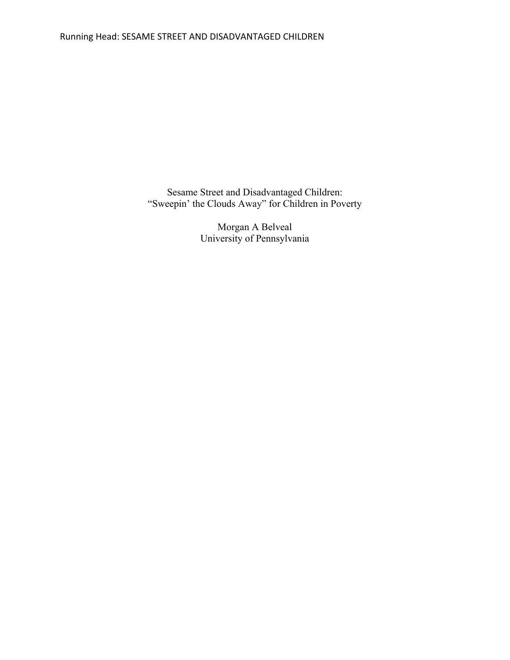Sesame Street and Disadvantaged Children: "Sweepin' the Clouds Away" for Children in Poverty

> Morgan A Belveal University of Pennsylvania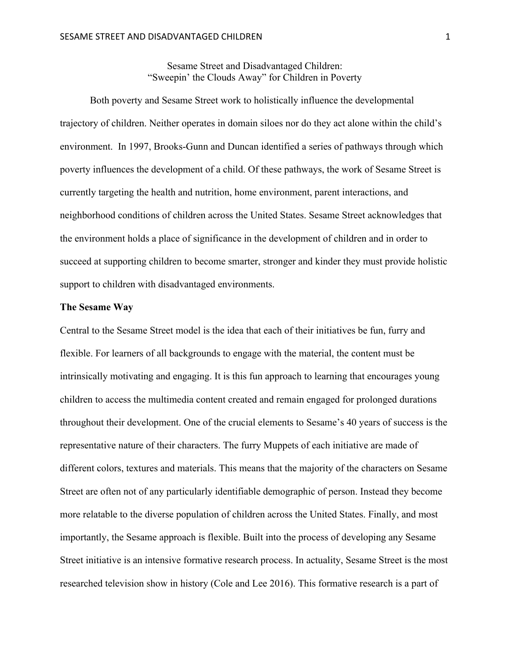Sesame Street and Disadvantaged Children: "Sweepin' the Clouds Away" for Children in Poverty

Both poverty and Sesame Street work to holistically influence the developmental trajectory of children. Neither operates in domain siloes nor do they act alone within the child's environment. In 1997, Brooks-Gunn and Duncan identified a series of pathways through which poverty influences the development of a child. Of these pathways, the work of Sesame Street is currently targeting the health and nutrition, home environment, parent interactions, and neighborhood conditions of children across the United States. Sesame Street acknowledges that the environment holds a place of significance in the development of children and in order to succeed at supporting children to become smarter, stronger and kinder they must provide holistic support to children with disadvantaged environments.

## **The Sesame Way**

Central to the Sesame Street model is the idea that each of their initiatives be fun, furry and flexible. For learners of all backgrounds to engage with the material, the content must be intrinsically motivating and engaging. It is this fun approach to learning that encourages young children to access the multimedia content created and remain engaged for prolonged durations throughout their development. One of the crucial elements to Sesame's 40 years of success is the representative nature of their characters. The furry Muppets of each initiative are made of different colors, textures and materials. This means that the majority of the characters on Sesame Street are often not of any particularly identifiable demographic of person. Instead they become more relatable to the diverse population of children across the United States. Finally, and most importantly, the Sesame approach is flexible. Built into the process of developing any Sesame Street initiative is an intensive formative research process. In actuality, Sesame Street is the most researched television show in history (Cole and Lee 2016). This formative research is a part of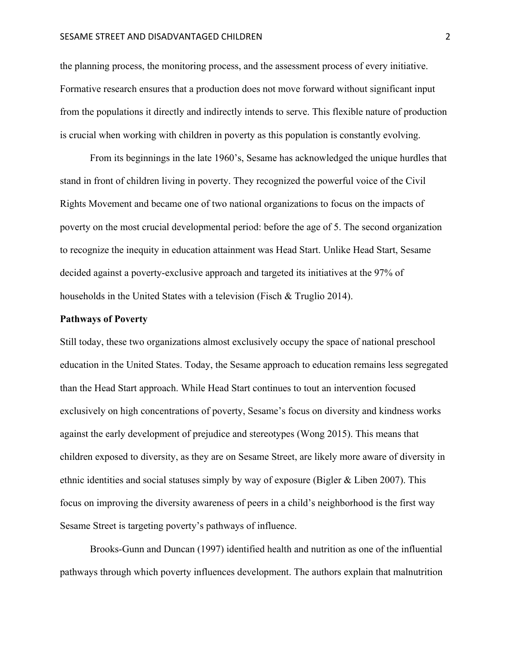#### SESAME STREET AND DISADVANTAGED CHILDREN 2

the planning process, the monitoring process, and the assessment process of every initiative. Formative research ensures that a production does not move forward without significant input from the populations it directly and indirectly intends to serve. This flexible nature of production is crucial when working with children in poverty as this population is constantly evolving.

From its beginnings in the late 1960's, Sesame has acknowledged the unique hurdles that stand in front of children living in poverty. They recognized the powerful voice of the Civil Rights Movement and became one of two national organizations to focus on the impacts of poverty on the most crucial developmental period: before the age of 5. The second organization to recognize the inequity in education attainment was Head Start. Unlike Head Start, Sesame decided against a poverty-exclusive approach and targeted its initiatives at the 97% of households in the United States with a television (Fisch & Truglio 2014).

## **Pathways of Poverty**

Still today, these two organizations almost exclusively occupy the space of national preschool education in the United States. Today, the Sesame approach to education remains less segregated than the Head Start approach. While Head Start continues to tout an intervention focused exclusively on high concentrations of poverty, Sesame's focus on diversity and kindness works against the early development of prejudice and stereotypes (Wong 2015). This means that children exposed to diversity, as they are on Sesame Street, are likely more aware of diversity in ethnic identities and social statuses simply by way of exposure (Bigler & Liben 2007). This focus on improving the diversity awareness of peers in a child's neighborhood is the first way Sesame Street is targeting poverty's pathways of influence.

Brooks-Gunn and Duncan (1997) identified health and nutrition as one of the influential pathways through which poverty influences development. The authors explain that malnutrition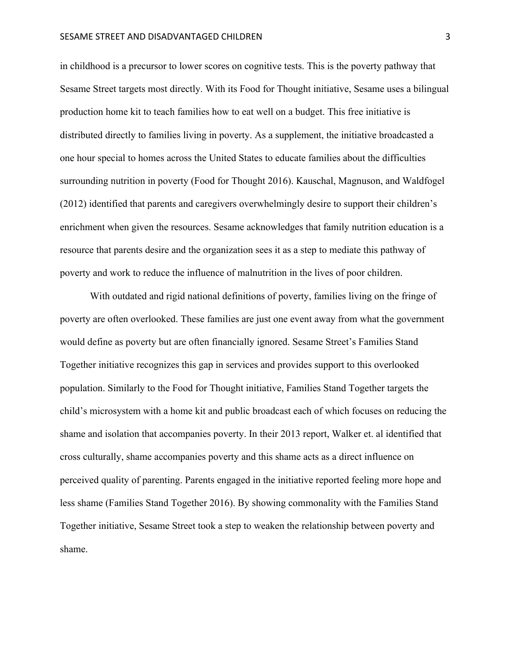#### SESAME STREET AND DISADVANTAGED CHILDREN **3** 3

in childhood is a precursor to lower scores on cognitive tests. This is the poverty pathway that Sesame Street targets most directly. With its Food for Thought initiative, Sesame uses a bilingual production home kit to teach families how to eat well on a budget. This free initiative is distributed directly to families living in poverty. As a supplement, the initiative broadcasted a one hour special to homes across the United States to educate families about the difficulties surrounding nutrition in poverty (Food for Thought 2016). Kauschal, Magnuson, and Waldfogel (2012) identified that parents and caregivers overwhelmingly desire to support their children's enrichment when given the resources. Sesame acknowledges that family nutrition education is a resource that parents desire and the organization sees it as a step to mediate this pathway of poverty and work to reduce the influence of malnutrition in the lives of poor children.

With outdated and rigid national definitions of poverty, families living on the fringe of poverty are often overlooked. These families are just one event away from what the government would define as poverty but are often financially ignored. Sesame Street's Families Stand Together initiative recognizes this gap in services and provides support to this overlooked population. Similarly to the Food for Thought initiative, Families Stand Together targets the child's microsystem with a home kit and public broadcast each of which focuses on reducing the shame and isolation that accompanies poverty. In their 2013 report, Walker et. al identified that cross culturally, shame accompanies poverty and this shame acts as a direct influence on perceived quality of parenting. Parents engaged in the initiative reported feeling more hope and less shame (Families Stand Together 2016). By showing commonality with the Families Stand Together initiative, Sesame Street took a step to weaken the relationship between poverty and shame.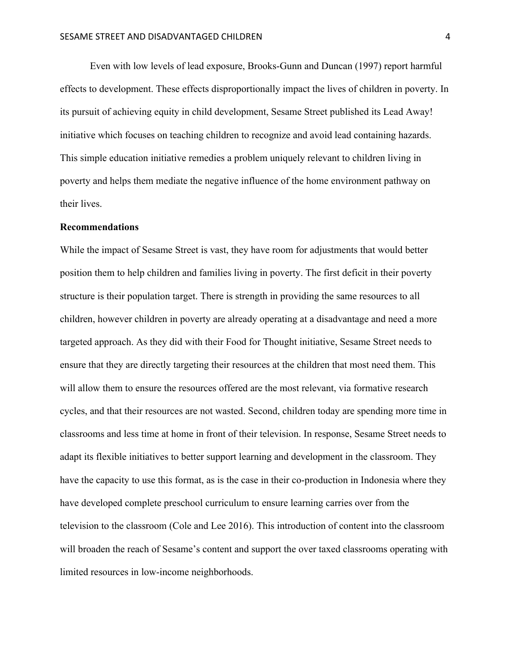Even with low levels of lead exposure, Brooks-Gunn and Duncan (1997) report harmful effects to development. These effects disproportionally impact the lives of children in poverty. In its pursuit of achieving equity in child development, Sesame Street published its Lead Away! initiative which focuses on teaching children to recognize and avoid lead containing hazards. This simple education initiative remedies a problem uniquely relevant to children living in poverty and helps them mediate the negative influence of the home environment pathway on their lives.

### **Recommendations**

While the impact of Sesame Street is vast, they have room for adjustments that would better position them to help children and families living in poverty. The first deficit in their poverty structure is their population target. There is strength in providing the same resources to all children, however children in poverty are already operating at a disadvantage and need a more targeted approach. As they did with their Food for Thought initiative, Sesame Street needs to ensure that they are directly targeting their resources at the children that most need them. This will allow them to ensure the resources offered are the most relevant, via formative research cycles, and that their resources are not wasted. Second, children today are spending more time in classrooms and less time at home in front of their television. In response, Sesame Street needs to adapt its flexible initiatives to better support learning and development in the classroom. They have the capacity to use this format, as is the case in their co-production in Indonesia where they have developed complete preschool curriculum to ensure learning carries over from the television to the classroom (Cole and Lee 2016). This introduction of content into the classroom will broaden the reach of Sesame's content and support the over taxed classrooms operating with limited resources in low-income neighborhoods.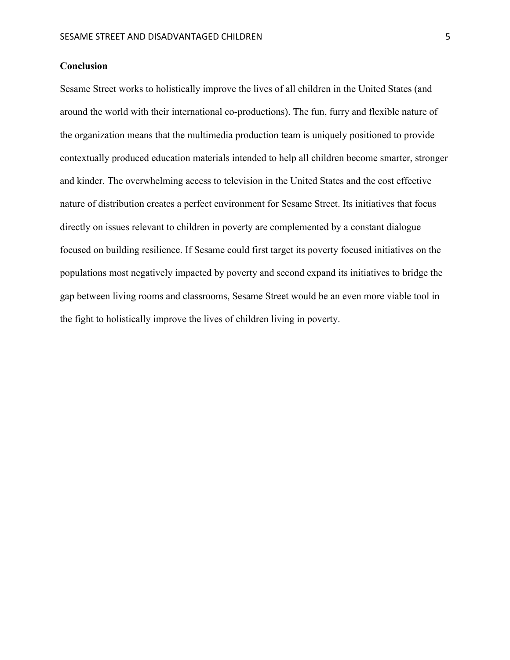# **Conclusion**

Sesame Street works to holistically improve the lives of all children in the United States (and around the world with their international co-productions). The fun, furry and flexible nature of the organization means that the multimedia production team is uniquely positioned to provide contextually produced education materials intended to help all children become smarter, stronger and kinder. The overwhelming access to television in the United States and the cost effective nature of distribution creates a perfect environment for Sesame Street. Its initiatives that focus directly on issues relevant to children in poverty are complemented by a constant dialogue focused on building resilience. If Sesame could first target its poverty focused initiatives on the populations most negatively impacted by poverty and second expand its initiatives to bridge the gap between living rooms and classrooms, Sesame Street would be an even more viable tool in the fight to holistically improve the lives of children living in poverty.